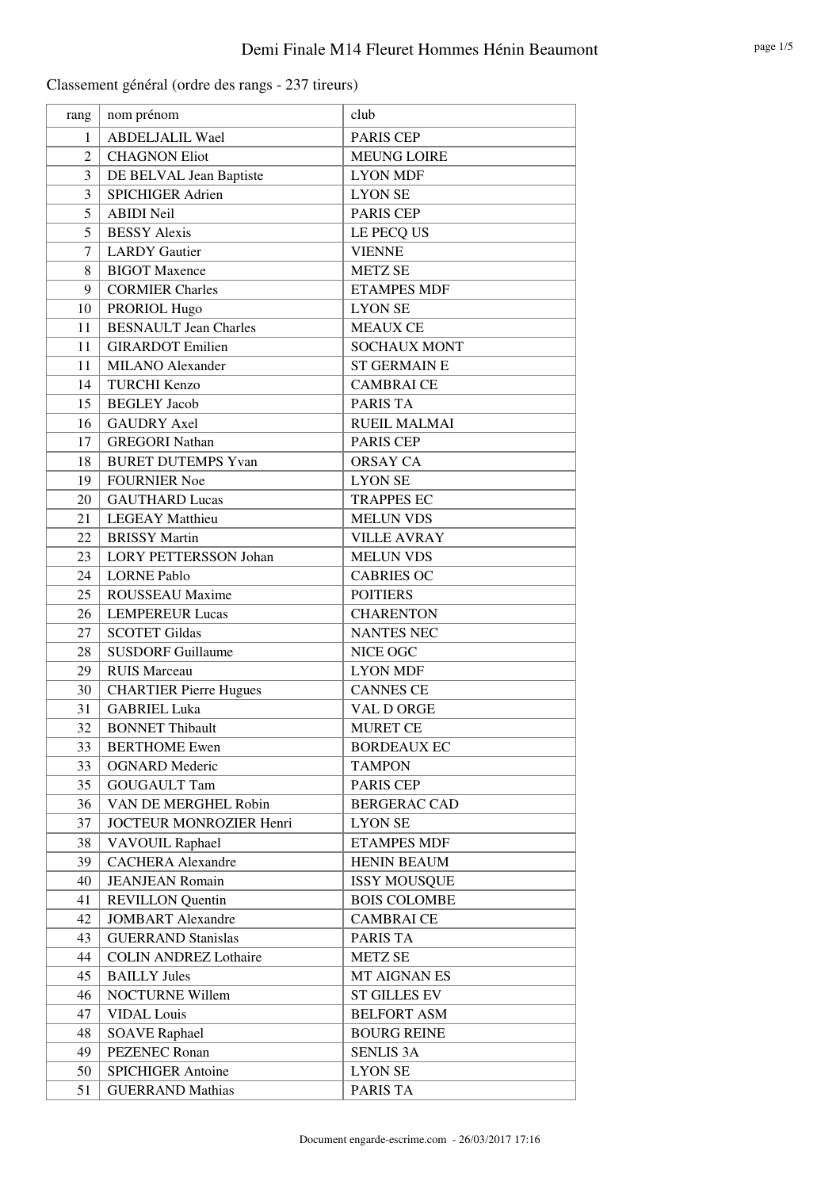| rang           | nom prénom                    | club                |
|----------------|-------------------------------|---------------------|
| 1              | <b>ABDELJALIL Wael</b>        | <b>PARIS CEP</b>    |
| $\overline{2}$ | <b>CHAGNON Eliot</b>          | <b>MEUNG LOIRE</b>  |
| 3              | DE BELVAL Jean Baptiste       | <b>LYON MDF</b>     |
| $\overline{3}$ | <b>SPICHIGER Adrien</b>       | <b>LYON SE</b>      |
| 5              | <b>ABIDI Neil</b>             | PARIS CEP           |
| 5              | <b>BESSY Alexis</b>           | LE PECQ US          |
| 7              | <b>LARDY</b> Gautier          | <b>VIENNE</b>       |
| 8              | <b>BIGOT</b> Maxence          | <b>METZ SE</b>      |
| 9              | <b>CORMIER Charles</b>        | <b>ETAMPES MDF</b>  |
| 10             | PRORIOL Hugo                  | <b>LYON SE</b>      |
| 11             | <b>BESNAULT</b> Jean Charles  | <b>MEAUX CE</b>     |
| 11             | <b>GIRARDOT</b> Emilien       | <b>SOCHAUX MONT</b> |
| 11             | <b>MILANO</b> Alexander       | <b>ST GERMAIN E</b> |
| 14             | <b>TURCHI Kenzo</b>           | <b>CAMBRAI CE</b>   |
| 15             | <b>BEGLEY</b> Jacob           | PARIS TA            |
| 16             | <b>GAUDRY Axel</b>            | <b>RUEIL MALMAI</b> |
| 17             | <b>GREGORI Nathan</b>         | <b>PARIS CEP</b>    |
| 18             | <b>BURET DUTEMPS Yvan</b>     | <b>ORSAY CA</b>     |
| 19             | <b>FOURNIER Noe</b>           | <b>LYON SE</b>      |
| 20             | <b>GAUTHARD Lucas</b>         | <b>TRAPPES EC</b>   |
| 21             | <b>LEGEAY Matthieu</b>        | <b>MELUN VDS</b>    |
| 22             | <b>BRISSY Martin</b>          | <b>VILLE AVRAY</b>  |
| 23             | <b>LORY PETTERSSON Johan</b>  | <b>MELUN VDS</b>    |
| 24             | <b>LORNE Pablo</b>            | <b>CABRIES OC</b>   |
| 25             | ROUSSEAU Maxime               | <b>POITIERS</b>     |
| 26             | <b>LEMPEREUR Lucas</b>        | <b>CHARENTON</b>    |
| 27             | <b>SCOTET Gildas</b>          | <b>NANTES NEC</b>   |
| 28             | <b>SUSDORF Guillaume</b>      | NICE OGC            |
| 29             | <b>RUIS Marceau</b>           | <b>LYON MDF</b>     |
| 30             | <b>CHARTIER Pierre Hugues</b> | <b>CANNES CE</b>    |
| 31             | <b>GABRIEL Luka</b>           | VAL D ORGE          |
| 32             | <b>BONNET Thibault</b>        | <b>MURET CE</b>     |
| 33             | <b>BERTHOME</b> Ewen          | <b>BORDEAUX EC</b>  |
| 33             | <b>OGNARD</b> Mederic         | <b>TAMPON</b>       |
| 35             | <b>GOUGAULT Tam</b>           | PARIS CEP           |
| 36             | VAN DE MERGHEL Robin          | <b>BERGERAC CAD</b> |
| 37             | JOCTEUR MONROZIER Henri       | <b>LYON SE</b>      |
| 38             | <b>VAVOUIL Raphael</b>        | <b>ETAMPES MDF</b>  |
| 39             | <b>CACHERA</b> Alexandre      | <b>HENIN BEAUM</b>  |
| 40             | <b>JEANJEAN Romain</b>        | <b>ISSY MOUSQUE</b> |
| 41             | <b>REVILLON</b> Quentin       | <b>BOIS COLOMBE</b> |
| 42             | <b>JOMBART</b> Alexandre      | <b>CAMBRAI CE</b>   |
| 43             | <b>GUERRAND Stanislas</b>     | PARIS TA            |
| 44             | <b>COLIN ANDREZ Lothaire</b>  | <b>METZ SE</b>      |
| 45             | <b>BAILLY Jules</b>           | MT AIGNAN ES        |
| 46             | <b>NOCTURNE Willem</b>        | <b>ST GILLES EV</b> |
| 47             | <b>VIDAL</b> Louis            | <b>BELFORT ASM</b>  |
| 48             | <b>SOAVE Raphael</b>          | <b>BOURG REINE</b>  |
| 49             | <b>PEZENEC Ronan</b>          | <b>SENLIS 3A</b>    |
| 50             | <b>SPICHIGER Antoine</b>      | <b>LYON SE</b>      |
| 51             | <b>GUERRAND Mathias</b>       | PARIS TA            |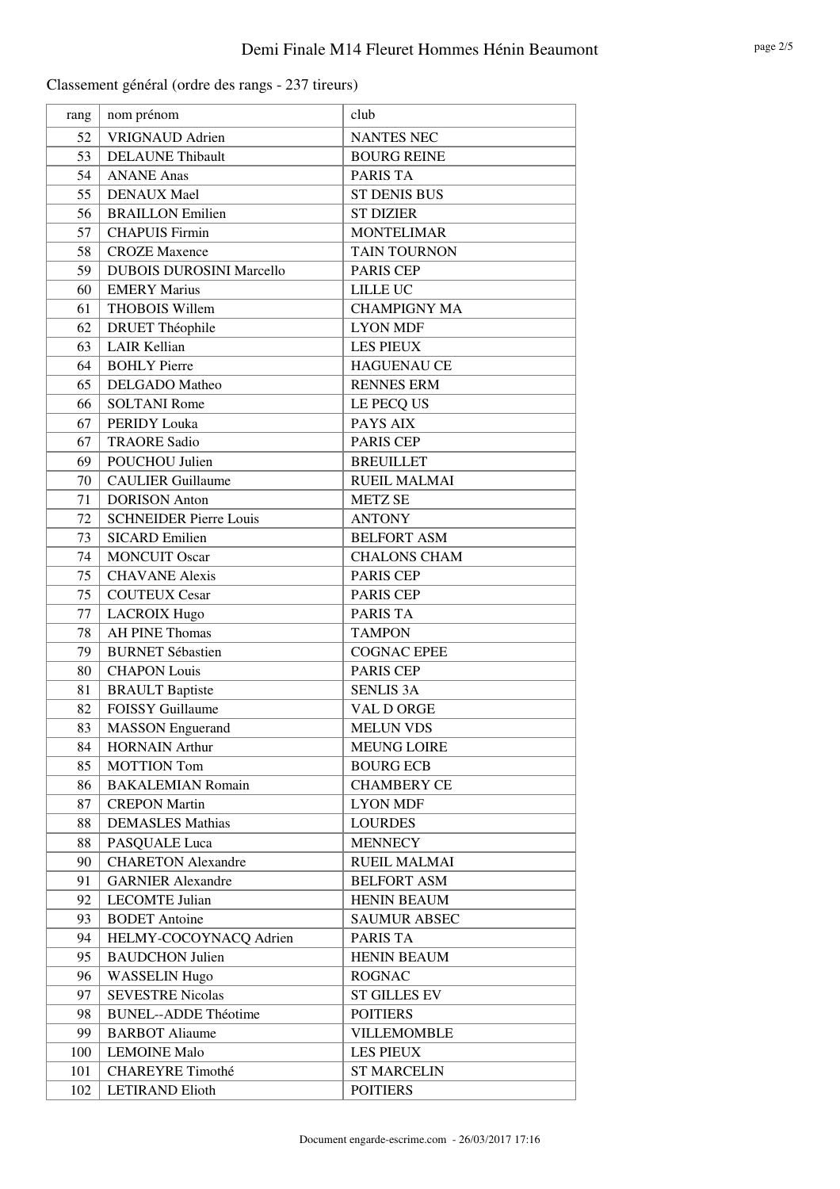| rang | nom prénom                      | club                |
|------|---------------------------------|---------------------|
| 52   | <b>VRIGNAUD</b> Adrien          | <b>NANTES NEC</b>   |
| 53   | <b>DELAUNE Thibault</b>         | <b>BOURG REINE</b>  |
| 54   | <b>ANANE Anas</b>               | <b>PARIS TA</b>     |
| 55   | <b>DENAUX Mael</b>              | <b>ST DENIS BUS</b> |
| 56   | <b>BRAILLON Emilien</b>         | <b>ST DIZIER</b>    |
| 57   | <b>CHAPUIS Firmin</b>           | <b>MONTELIMAR</b>   |
| 58   | <b>CROZE Maxence</b>            | TAIN TOURNON        |
| 59   | <b>DUBOIS DUROSINI Marcello</b> | <b>PARIS CEP</b>    |
| 60   | <b>EMERY Marius</b>             | <b>LILLE UC</b>     |
| 61   | THOBOIS Willem                  | <b>CHAMPIGNY MA</b> |
| 62   | <b>DRUET Théophile</b>          | <b>LYON MDF</b>     |
| 63   | <b>LAIR Kellian</b>             | <b>LES PIEUX</b>    |
| 64   | <b>BOHLY Pierre</b>             | <b>HAGUENAU CE</b>  |
| 65   | <b>DELGADO</b> Matheo           | <b>RENNES ERM</b>   |
| 66   | <b>SOLTANI Rome</b>             | LE PECQ US          |
| 67   | <b>PERIDY Louka</b>             | PAYS AIX            |
| 67   | <b>TRAORE Sadio</b>             | PARIS CEP           |
| 69   | POUCHOU Julien                  | <b>BREUILLET</b>    |
| 70   | <b>CAULIER Guillaume</b>        | <b>RUEIL MALMAI</b> |
| 71   | <b>DORISON</b> Anton            | <b>METZ SE</b>      |
| 72   | <b>SCHNEIDER Pierre Louis</b>   | <b>ANTONY</b>       |
| 73   | <b>SICARD Emilien</b>           | <b>BELFORT ASM</b>  |
| 74   | <b>MONCUIT Oscar</b>            | <b>CHALONS CHAM</b> |
| 75   | <b>CHAVANE</b> Alexis           | PARIS CEP           |
| 75   | <b>COUTEUX Cesar</b>            | PARIS CEP           |
| 77   | <b>LACROIX Hugo</b>             | PARIS TA            |
| 78   | <b>AH PINE Thomas</b>           | <b>TAMPON</b>       |
| 79   | <b>BURNET Sébastien</b>         | <b>COGNAC EPEE</b>  |
| 80   | <b>CHAPON Louis</b>             | PARIS CEP           |
| 81   | <b>BRAULT Baptiste</b>          | <b>SENLIS 3A</b>    |
| 82   | <b>FOISSY Guillaume</b>         | VAL D ORGE          |
| 83   | <b>MASSON</b> Enguerand         | <b>MELUN VDS</b>    |
| 84   | <b>HORNAIN</b> Arthur           | <b>MEUNG LOIRE</b>  |
| 85   | <b>MOTTION Tom</b>              | <b>BOURG ECB</b>    |
| 86   | <b>BAKALEMIAN Romain</b>        | <b>CHAMBERY CE</b>  |
| 87   | <b>CREPON Martin</b>            | <b>LYON MDF</b>     |
| 88   | <b>DEMASLES Mathias</b>         | <b>LOURDES</b>      |
| 88   | PASQUALE Luca                   | <b>MENNECY</b>      |
| 90   | <b>CHARETON Alexandre</b>       | <b>RUEIL MALMAI</b> |
| 91   | <b>GARNIER Alexandre</b>        | <b>BELFORT ASM</b>  |
| 92   | <b>LECOMTE</b> Julian           | <b>HENIN BEAUM</b>  |
| 93   | <b>BODET</b> Antoine            | <b>SAUMUR ABSEC</b> |
| 94   | HELMY-COCOYNACQ Adrien          | PARIS TA            |
| 95   | <b>BAUDCHON Julien</b>          | <b>HENIN BEAUM</b>  |
| 96   | <b>WASSELIN Hugo</b>            | <b>ROGNAC</b>       |
| 97   | <b>SEVESTRE Nicolas</b>         | <b>ST GILLES EV</b> |
| 98   | <b>BUNEL--ADDE Théotime</b>     | <b>POITIERS</b>     |
| 99   | <b>BARBOT</b> Aliaume           | <b>VILLEMOMBLE</b>  |
| 100  | <b>LEMOINE Malo</b>             | <b>LES PIEUX</b>    |
| 101  | <b>CHAREYRE Timothé</b>         | <b>ST MARCELIN</b>  |
| 102  | <b>LETIRAND Elioth</b>          | <b>POITIERS</b>     |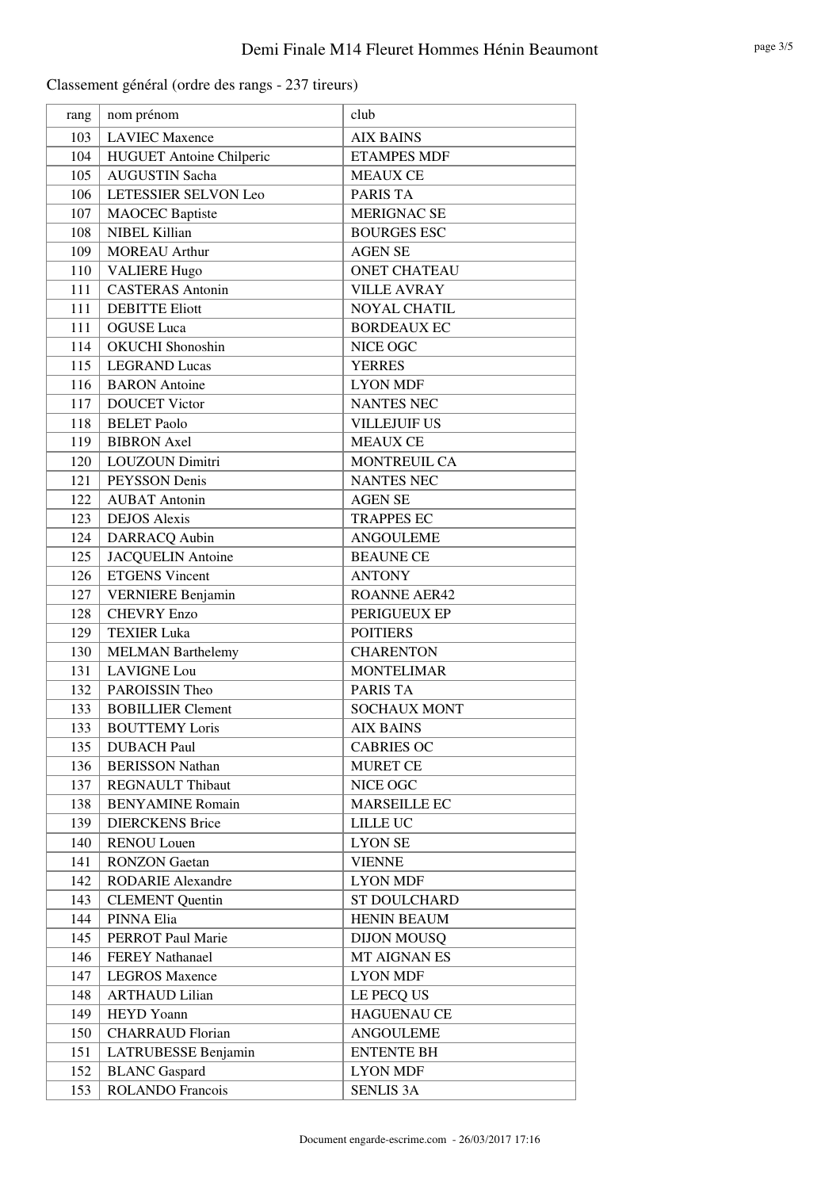| rang | nom prénom                      | club                |
|------|---------------------------------|---------------------|
| 103  | <b>LAVIEC Maxence</b>           | <b>AIX BAINS</b>    |
| 104  | <b>HUGUET</b> Antoine Chilperic | <b>ETAMPES MDF</b>  |
| 105  | <b>AUGUSTIN Sacha</b>           | <b>MEAUX CE</b>     |
| 106  | LETESSIER SELVON Leo            | PARIS TA            |
| 107  | <b>MAOCEC</b> Baptiste          | <b>MERIGNAC SE</b>  |
| 108  | NIBEL Killian                   | <b>BOURGES ESC</b>  |
| 109  | <b>MOREAU</b> Arthur            | <b>AGEN SE</b>      |
| 110  | <b>VALIERE Hugo</b>             | <b>ONET CHATEAU</b> |
| 111  | <b>CASTERAS Antonin</b>         | <b>VILLE AVRAY</b>  |
| 111  | <b>DEBITTE Eliott</b>           | <b>NOYAL CHATIL</b> |
| 111  | <b>OGUSE</b> Luca               | <b>BORDEAUX EC</b>  |
| 114  | <b>OKUCHI</b> Shonoshin         | NICE OGC            |
| 115  | <b>LEGRAND</b> Lucas            | <b>YERRES</b>       |
| 116  | <b>BARON</b> Antoine            | <b>LYON MDF</b>     |
| 117  | <b>DOUCET Victor</b>            | <b>NANTES NEC</b>   |
| 118  | <b>BELET Paolo</b>              | <b>VILLEJUIF US</b> |
| 119  | <b>BIBRON</b> Axel              | <b>MEAUX CE</b>     |
| 120  | LOUZOUN Dimitri                 | MONTREUIL CA        |
| 121  | PEYSSON Denis                   | <b>NANTES NEC</b>   |
| 122  | <b>AUBAT</b> Antonin            | <b>AGEN SE</b>      |
| 123  | <b>DEJOS</b> Alexis             | <b>TRAPPES EC</b>   |
| 124  | DARRACQ Aubin                   | <b>ANGOULEME</b>    |
| 125  | <b>JACQUELIN Antoine</b>        | <b>BEAUNE CE</b>    |
| 126  | <b>ETGENS</b> Vincent           | <b>ANTONY</b>       |
| 127  | <b>VERNIERE Benjamin</b>        | <b>ROANNE AER42</b> |
| 128  | <b>CHEVRY Enzo</b>              | PERIGUEUX EP        |
| 129  | <b>TEXIER Luka</b>              | <b>POITIERS</b>     |
| 130  | <b>MELMAN Barthelemy</b>        | <b>CHARENTON</b>    |
| 131  | <b>LAVIGNE Lou</b>              | <b>MONTELIMAR</b>   |
| 132  | PAROISSIN Theo                  | PARIS TA            |
| 133  | <b>BOBILLIER Clement</b>        | <b>SOCHAUX MONT</b> |
| 133  | <b>BOUTTEMY Loris</b>           | <b>AIX BAINS</b>    |
| 135  | <b>DUBACH Paul</b>              | <b>CABRIES OC</b>   |
| 136  | <b>BERISSON Nathan</b>          | <b>MURET CE</b>     |
| 137  | <b>REGNAULT Thibaut</b>         | NICE OGC            |
| 138  | <b>BENYAMINE Romain</b>         | <b>MARSEILLE EC</b> |
| 139  | <b>DIERCKENS Brice</b>          | LILLE UC            |
| 140  | <b>RENOU Louen</b>              | <b>LYON SE</b>      |
| 141  | <b>RONZON</b> Gaetan            | <b>VIENNE</b>       |
| 142  | <b>RODARIE Alexandre</b>        | <b>LYON MDF</b>     |
| 143  | <b>CLEMENT</b> Quentin          | ST DOULCHARD        |
| 144  | PINNA Elia                      | <b>HENIN BEAUM</b>  |
| 145  | <b>PERROT Paul Marie</b>        | <b>DIJON MOUSQ</b>  |
| 146  | <b>FEREY Nathanael</b>          | MT AIGNAN ES        |
| 147  | <b>LEGROS Maxence</b>           | <b>LYON MDF</b>     |
| 148  | <b>ARTHAUD Lilian</b>           | LE PECQ US          |
| 149  | HEYD Yoann                      | <b>HAGUENAU CE</b>  |
| 150  | <b>CHARRAUD Florian</b>         | ANGOULEME           |
| 151  | LATRUBESSE Benjamin             | <b>ENTENTE BH</b>   |
| 152  | <b>BLANC</b> Gaspard            | <b>LYON MDF</b>     |
| 153  | ROLANDO Francois                | <b>SENLIS 3A</b>    |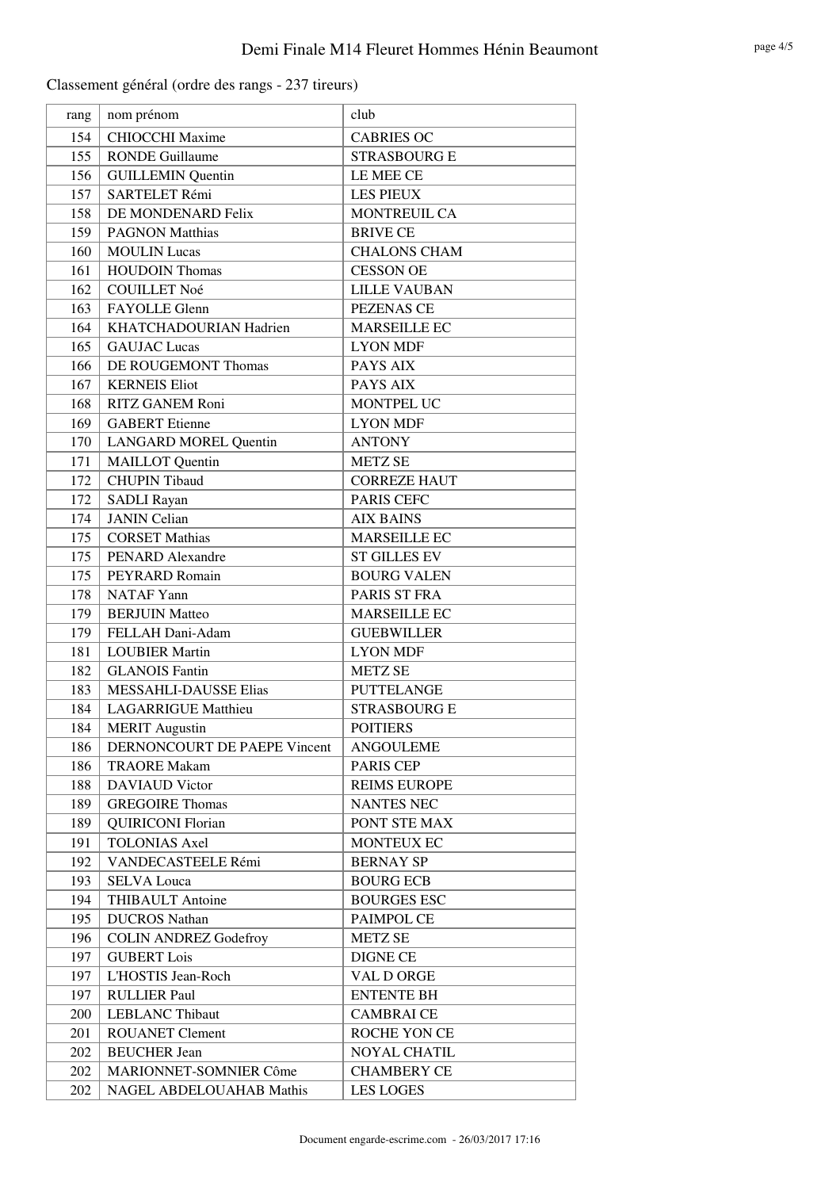| rang | nom prénom                   | club                |
|------|------------------------------|---------------------|
| 154  | <b>CHIOCCHI Maxime</b>       | <b>CABRIES OC</b>   |
| 155  | <b>RONDE Guillaume</b>       | <b>STRASBOURG E</b> |
| 156  | <b>GUILLEMIN Quentin</b>     | LE MEE CE           |
| 157  | <b>SARTELET Rémi</b>         | <b>LES PIEUX</b>    |
| 158  | DE MONDENARD Felix           | MONTREUIL CA        |
| 159  | <b>PAGNON Matthias</b>       | <b>BRIVE CE</b>     |
| 160  | <b>MOULIN Lucas</b>          | <b>CHALONS CHAM</b> |
| 161  | <b>HOUDOIN Thomas</b>        | <b>CESSON OE</b>    |
| 162  | <b>COUILLET Noé</b>          | <b>LILLE VAUBAN</b> |
| 163  | FAYOLLE Glenn                | PEZENAS CE          |
| 164  | KHATCHADOURIAN Hadrien       | <b>MARSEILLE EC</b> |
| 165  | <b>GAUJAC</b> Lucas          | <b>LYON MDF</b>     |
| 166  | DE ROUGEMONT Thomas          | PAYS AIX            |
| 167  | <b>KERNEIS Eliot</b>         | PAYS AIX            |
| 168  | RITZ GANEM Roni              | MONTPEL UC          |
| 169  | <b>GABERT</b> Etienne        | <b>LYON MDF</b>     |
| 170  | <b>LANGARD MOREL Quentin</b> | <b>ANTONY</b>       |
| 171  | <b>MAILLOT</b> Quentin       | <b>METZ SE</b>      |
| 172  | <b>CHUPIN Tibaud</b>         | <b>CORREZE HAUT</b> |
| 172  | <b>SADLI Rayan</b>           | <b>PARIS CEFC</b>   |
| 174  | <b>JANIN</b> Celian          | <b>AIX BAINS</b>    |
| 175  | <b>CORSET Mathias</b>        | <b>MARSEILLE EC</b> |
| 175  | <b>PENARD Alexandre</b>      | <b>ST GILLES EV</b> |
| 175  | PEYRARD Romain               | <b>BOURG VALEN</b>  |
| 178  | <b>NATAF Yann</b>            | PARIS ST FRA        |
| 179  | <b>BERJUIN Matteo</b>        | <b>MARSEILLE EC</b> |
| 179  | FELLAH Dani-Adam             | <b>GUEBWILLER</b>   |
| 181  | <b>LOUBIER Martin</b>        | <b>LYON MDF</b>     |
| 182  | <b>GLANOIS Fantin</b>        | <b>METZ SE</b>      |
| 183  | <b>MESSAHLI-DAUSSE Elias</b> | <b>PUTTELANGE</b>   |
| 184  | <b>LAGARRIGUE Matthieu</b>   | <b>STRASBOURG E</b> |
| 184  | <b>MERIT</b> Augustin        | <b>POITIERS</b>     |
| 186  | DERNONCOURT DE PAEPE Vincent | <b>ANGOULEME</b>    |
| 186  | <b>TRAORE Makam</b>          | PARIS CEP           |
| 188  | <b>DAVIAUD</b> Victor        | <b>REIMS EUROPE</b> |
| 189  | <b>GREGOIRE Thomas</b>       | <b>NANTES NEC</b>   |
| 189  | <b>QUIRICONI Florian</b>     | PONT STE MAX        |
| 191  | <b>TOLONIAS Axel</b>         | MONTEUX EC          |
| 192  | VANDECASTEELE Rémi           | <b>BERNAY SP</b>    |
| 193  | <b>SELVA Louca</b>           | <b>BOURG ECB</b>    |
| 194  | <b>THIBAULT Antoine</b>      | <b>BOURGES ESC</b>  |
| 195  | <b>DUCROS</b> Nathan         | PAIMPOL CE          |
| 196  | <b>COLIN ANDREZ Godefroy</b> | <b>METZ SE</b>      |
| 197  | <b>GUBERT Lois</b>           | <b>DIGNE CE</b>     |
| 197  | L'HOSTIS Jean-Roch           | VAL D ORGE          |
| 197  | <b>RULLIER Paul</b>          | <b>ENTENTE BH</b>   |
| 200  | <b>LEBLANC Thibaut</b>       | <b>CAMBRAI CE</b>   |
| 201  | <b>ROUANET Clement</b>       | ROCHE YON CE        |
| 202  | <b>BEUCHER Jean</b>          | <b>NOYAL CHATIL</b> |
| 202  | MARIONNET-SOMNIER Côme       | <b>CHAMBERY CE</b>  |
| 202  | NAGEL ABDELOUAHAB Mathis     | <b>LES LOGES</b>    |